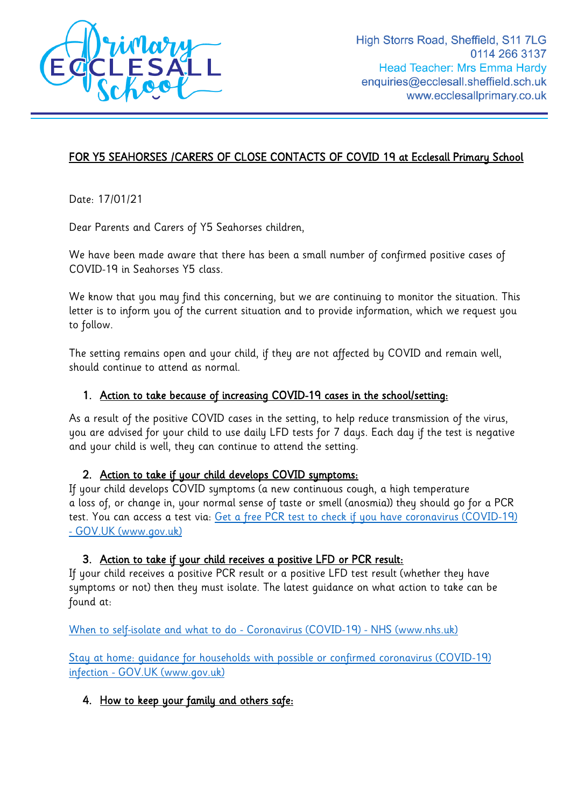

# FOR Y5 SEAHORSES /CARERS OF CLOSE CONTACTS OF COVID 19 at Ecclesall Primary School

Date: 17/01/21

Dear Parents and Carers of Y5 Seahorses children,

We have been made aware that there has been a small number of confirmed positive cases of COVID-19 in Seahorses Y5 class.

We know that you may find this concerning, but we are continuing to monitor the situation. This letter is to inform you of the current situation and to provide information, which we request you to follow.

The setting remains open and your child, if they are not affected by COVID and remain well, should continue to attend as normal.

#### 1. Action to take because of increasing COVID-19 cases in the school/setting:

As a result of the positive COVID cases in the setting, to help reduce transmission of the virus, you are advised for your child to use daily LFD tests for 7 days. Each day if the test is negative and your child is well, they can continue to attend the setting.

#### 2. Action to take if your child develops COVID symptoms:

If your child develops COVID symptoms (a new continuous cough, a high temperature a loss of, or change in, your normal sense of taste or smell (anosmia)) they should go for a PCR test. You can access a test via: Get a free PCR test to check if you have coronavirus (COVID-19) - [GOV.UK \(www.gov.uk\)](https://www.gov.uk/get-coronavirus-test)

#### 3. Action to take if your child receives a positive LFD or PCR result:

If your child receives a positive PCR result or a positive LFD test result (whether they have symptoms or not) then they must isolate. The latest guidance on what action to take can be found at:

[When to self-isolate and what to do -](https://www.nhs.uk/conditions/coronavirus-covid-19/self-isolation-and-treatment/when-to-self-isolate-and-what-to-do/) Coronavirus (COVID-19) - NHS (www.nhs.uk)

[Stay at home: guidance for households with possible or confirmed coronavirus \(COVID-19\)](https://www.gov.uk/government/publications/covid-19-stay-at-home-guidance/stay-at-home-guidance-for-households-with-possible-coronavirus-covid-19-infection)  infection - [GOV.UK \(www.gov.uk\)](https://www.gov.uk/government/publications/covid-19-stay-at-home-guidance/stay-at-home-guidance-for-households-with-possible-coronavirus-covid-19-infection)

#### 4. How to keep your family and others safe: